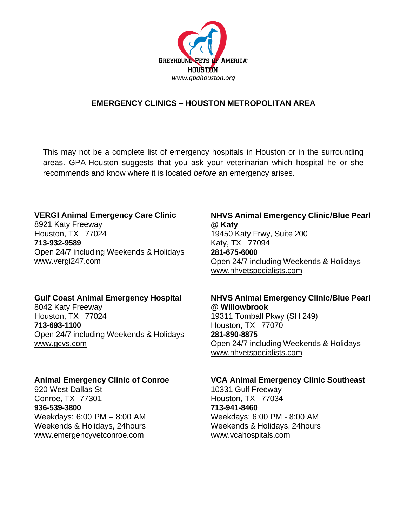

# **EMERGENCY CLINICS – HOUSTON METROPOLITAN AREA**

This may not be a complete list of emergency hospitals in Houston or in the surrounding areas. GPA-Houston suggests that you ask your veterinarian which hospital he or she recommends and know where it is located *before* an emergency arises.

## **VERGI Animal Emergency Care Clinic**

8921 Katy Freeway Houston, TX 77024 **713-932-9589** Open 24/7 including Weekends & Holidays [www.vergi247.com](http://www.vergi247.com/)

## **Gulf Coast Animal Emergency Hospital**

8042 Katy Freeway Houston, TX 77024 **713-693-1100** Open 24/7 including Weekends & Holidays [www.gcvs.com](http://www.gcvs.com/)

#### **Animal Emergency Clinic of Conroe**

920 West Dallas St Conroe, TX 77301 **936-539-3800** Weekdays: 6:00 PM – 8:00 AM Weekends & Holidays, 24hours [www.emergencyvetconroe.com](http://www.emergencyvetconroe.com/)

# **NHVS Animal Emergency Clinic/Blue Pearl @ Katy**

19450 Katy Frwy, Suite 200 Katy, TX 77094 **281-675-6000** Open 24/7 including Weekends & Holidays [www.nhvetspecialists.com](http://www.nhvetspecialists.com/)

### **NHVS Animal Emergency Clinic/Blue Pearl @ Willowbrook**

19311 Tomball Pkwy (SH 249) Houston, TX 77070 **281-890-8875** Open 24/7 including Weekends & Holidays [www.nhvetspecialists.com](http://www.nhvetspecialists.com/)

#### **VCA Animal Emergency Clinic Southeast**

10331 Gulf Freeway Houston, TX 77034 **713-941-8460** Weekdays: 6:00 PM - 8:00 AM Weekends & Holidays, 24hours [www.vcahospitals.com](http://www.vcahospitals.com/)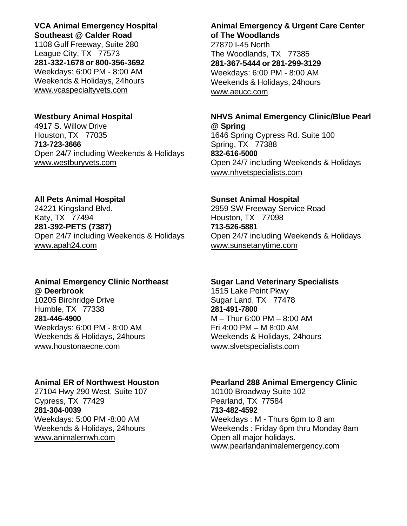**VCA Animal Emergency Hospital Southeast @ Calder Road** 1108 Gulf Freeway, Suite 280 League City, TX 77573 **281-332-1678 or 800-356-3692** Weekdays: 6:00 PM - 8:00 AM Weekends & Holidays, 24hours [www.vcaspecialtyvets.com](http://www.vcaspecialtyvets.com/)

4917 S. Willow Drive **@ Spring** Houston, TX 77035 1646 Spring Cypress Rd. Suite 100 **713-723-3666** Spring, TX 77388 Open 24/7 including Weekends & Holidays **832-616-5000** [www.westburyvets.com](http://www.westburyvets.com/) **Open 24/7 including Weekends & Holidays** 

#### **All Pets Animal Hospital Sunset Animal Hospital**

24221 Kingsland Blvd. 2959 SW Freeway Service Road Katy, TX 77494 **Houston, TX 77098 281-392-PETS (7387) 713-526-5881** Open 24/7 including Weekends & Holidays Open 24/7 including Weekends & Holidays [www.apah24.com](http://www.apah24.com/) [www.sunsetanytime.com](http://www.sunsetanytime.com/)

## **Animal Emergency Clinic Northeast Sugar Land Veterinary Specialists @ Deerbrook** 1515 Lake Point Pkwy

10205 Birchridge Drive Sugar Land, TX 77478 Humble, TX 77338 **281-491-7800 281-446-4900** M – Thur 6:00 PM – 8:00 AM Weekdays: 6:00 PM - 8:00 AM Fri 4:00 PM – M 8:00 AM [www.houstonaecne.com](http://www.houstonaecne.com/) [www.slvetspecialists.com](http://www.slvetspecialists.com/)

27104 Hwy 290 West, Suite 107 10100 Broadway Suite 102 Cypress, TX 77429 **Pearland, TX 77584 281-304-0039 713-482-4592** [www.animalernwh.com](http://www.animalernwh.com/) **Open all major holidays.** 

# **Animal Emergency & Urgent Care Center of The Woodlands**

27870 I-45 North The Woodlands, TX 77385 **281-367-5444 or 281-299-3129** Weekdays: 6:00 PM - 8:00 AM Weekends & Holidays, 24hours [www.aeucc.com](http://www.aeucc.com/)

## **Westbury Animal Hospital NHVS Animal Emergency Clinic/Blue Pearl**

[www.nhvetspecialists.com](http://www.nhvetspecialists.com/)

Weekends & Holidays, 24 hours Weekends & Holidays, 24 hours

## **Animal ER of Northwest Houston Pearland 288 Animal Emergency Clinic**

Weekdays: 5:00 PM -8:00 AM Weekdays : M - Thurs 6pm to 8 am Weekends & Holidays, 24 hours Weekends : Friday 6pm thru Monday 8am www.pearlandanimalemergency.com